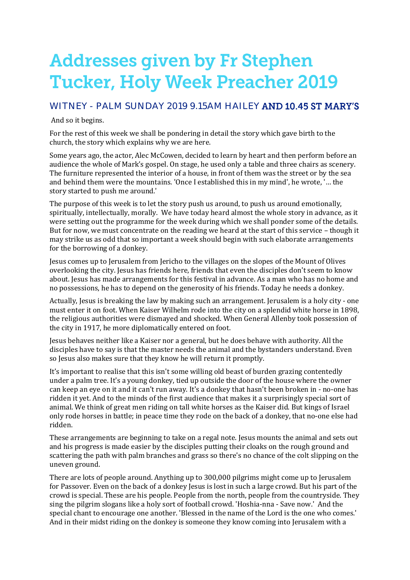# **Addresses given by Fr Stephen Tucker, Holy Week Preacher 2019**

## WITNEY - PALM SUNDAY 2019 9.15AM HAILEY AND 10.45 ST MARY'S

#### And so it begins.

For the rest of this week we shall be pondering in detail the story which gave birth to the church, the story which explains why we are here.

Some years ago, the actor, Alec McCowen, decided to learn by heart and then perform before an audience the whole of Mark's gospel. On stage, he used only a table and three chairs as scenery. The furniture represented the interior of a house, in front of them was the street or by the sea and behind them were the mountains. 'Once I established this in my mind', he wrote, '… the story started to push me around.'

The purpose of this week is to let the story push us around, to push us around emotionally, spiritually, intellectually, morally. We have today heard almost the whole story in advance, as it were setting out the programme for the week during which we shall ponder some of the details. But for now, we must concentrate on the reading we heard at the start of this service – though it may strike us as odd that so important a week should begin with such elaborate arrangements for the borrowing of a donkey.

Jesus comes up to Jerusalem from Jericho to the villages on the slopes of the Mount of Olives overlooking the city. Jesus has friends here, friends that even the disciples don't seem to know about. Jesus has made arrangements for this festival in advance. As a man who has no home and no possessions, he has to depend on the generosity of his friends. Today he needs a donkey.

Actually, Jesus is breaking the law by making such an arrangement. Jerusalem is a holy city - one must enter it on foot. When Kaiser Wilhelm rode into the city on a splendid white horse in 1898, the religious authorities were dismayed and shocked. When General Allenby took possession of the city in 1917, he more diplomatically entered on foot.

Jesus behaves neither like a Kaiser nor a general, but he does behave with authority. All the disciples have to say is that the master needs the animal and the bystanders understand. Even so Jesus also makes sure that they know he will return it promptly.

It's important to realise that this isn't some willing old beast of burden grazing contentedly under a palm tree. It's a young donkey, tied up outside the door of the house where the owner can keep an eye on it and it can't run away. It's a donkey that hasn't been broken in - no-one has ridden it yet. And to the minds of the first audience that makes it a surprisingly special sort of animal. We think of great men riding on tall white horses as the Kaiser did. But kings of Israel only rode horses in battle; in peace time they rode on the back of a donkey, that no-one else had ridden.

These arrangements are beginning to take on a regal note. Jesus mounts the animal and sets out and his progress is made easier by the disciples putting their cloaks on the rough ground and scattering the path with palm branches and grass so there's no chance of the colt slipping on the uneven ground.

There are lots of people around. Anything up to 300,000 pilgrims might come up to Jerusalem for Passover. Even on the back of a donkey Jesus is lost in such a large crowd. But his part of the crowd is special. These are his people. People from the north, people from the countryside. They sing the pilgrim slogans like a holy sort of football crowd. 'Hoshia-nna - Save now.' And the special chant to encourage one another. 'Blessed in the name of the Lord is the one who comes.' And in their midst riding on the donkey is someone they know coming into Jerusalem with a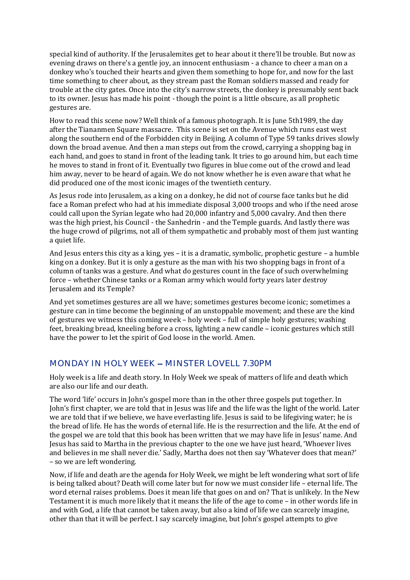special kind of authority. If the Jerusalemites get to hear about it there'll be trouble. But now as evening draws on there's a gentle joy, an innocent enthusiasm - a chance to cheer a man on a donkey who's touched their hearts and given them something to hope for, and now for the last time something to cheer about, as they stream past the Roman soldiers massed and ready for trouble at the city gates. Once into the city's narrow streets, the donkey is presumably sent back to its owner. Jesus has made his point - though the point is a little obscure, as all prophetic gestures are.

How to read this scene now? Well think of a famous photograph. It is June 5th1989, the day after the Tiananmen Square massacre. This scene is set on the Avenue which runs east west along the southern end of the Forbidden city in Beijing. A column of Type 59 tanks drives slowly down the broad avenue. And then a man steps out from the crowd, carrying a shopping bag in each hand, and goes to stand in front of the leading tank. It tries to go around him, but each time he moves to stand in front of it. Eventually two figures in blue come out of the crowd and lead him away, never to be heard of again. We do not know whether he is even aware that what he did produced one of the most iconic images of the twentieth century.

As Jesus rode into Jerusalem, as a king on a donkey, he did not of course face tanks but he did face a Roman prefect who had at his immediate disposal 3,000 troops and who if the need arose could call upon the Syrian legate who had 20,000 infantry and 5,000 cavalry. And then there was the high priest, his Council - the Sanhedrin - and the Temple guards. And lastly there was the huge crowd of pilgrims, not all of them sympathetic and probably most of them just wanting a quiet life.

And Jesus enters this city as a king, yes – it is a dramatic, symbolic, prophetic gesture – a humble king on a donkey. But it is only a gesture as the man with his two shopping bags in front of a column of tanks was a gesture. And what do gestures count in the face of such overwhelming force – whether Chinese tanks or a Roman army which would forty years later destroy Jerusalem and its Temple?

And yet sometimes gestures are all we have; sometimes gestures become iconic; sometimes a gesture can in time become the beginning of an unstoppable movement; and these are the kind of gestures we witness this coming week – holy week – full of simple holy gestures; washing feet, breaking bread, kneeling before a cross, lighting a new candle – iconic gestures which still have the power to let the spirit of God loose in the world. Amen.

#### MONDAY IN HOLY WEEK - MINSTER LOVELL 7.30PM

Holy week is a life and death story. In Holy Week we speak of matters of life and death which are also our life and our death.

The word 'life' occurs in John's gospel more than in the other three gospels put together. In John's first chapter, we are told that in Jesus was life and the life was the light of the world. Later we are told that if we believe, we have everlasting life. Jesus is said to be lifegiving water; he is the bread of life. He has the words of eternal life. He is the resurrection and the life. At the end of the gospel we are told that this book has been written that we may have life in Jesus' name. And Jesus has said to Martha in the previous chapter to the one we have just heard, 'Whoever lives and believes in me shall never die.' Sadly, Martha does not then say 'Whatever does that mean?' – so we are left wondering.

Now, if life and death are the agenda for Holy Week, we might be left wondering what sort of life is being talked about? Death will come later but for now we must consider life – eternal life. The word eternal raises problems. Does it mean life that goes on and on? That is unlikely. In the New Testament it is much more likely that it means the life of the age to come – in other words life in and with God, a life that cannot be taken away, but also a kind of life we can scarcely imagine, other than that it will be perfect. I say scarcely imagine, but John's gospel attempts to give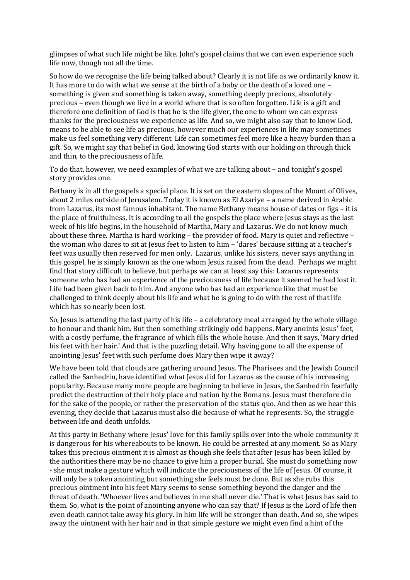glimpses of what such life might be like. John's gospel claims that we can even experience such life now, though not all the time.

So how do we recognise the life being talked about? Clearly it is not life as we ordinarily know it. It has more to do with what we sense at the birth of a baby or the death of a loved one – something is given and something is taken away, something deeply precious, absolutely precious – even though we live in a world where that is so often forgotten. Life is a gift and therefore one definition of God is that he is the life giver, the one to whom we can express thanks for the preciousness we experience as life. And so, we might also say that to know God, means to be able to see life as precious, however much our experiences in life may sometimes make us feel something very different. Life can sometimes feel more like a heavy burden than a gift. So, we might say that belief in God, knowing God starts with our holding on through thick and thin, to the preciousness of life.

To do that, however, we need examples of what we are talking about – and tonight's gospel story provides one.

Bethany is in all the gospels a special place. It is set on the eastern slopes of the Mount of Olives, about 2 miles outside of Jerusalem. Today it is known as El Azariye – a name derived in Arabic from Lazarus, its most famous inhabitant. The name Bethany means house of dates or figs – it is the place of fruitfulness. It is according to all the gospels the place where Jesus stays as the last week of his life begins, in the household of Martha, Mary and Lazarus. We do not know much about these three. Martha is hard working – the provider of food. Mary is quiet and reflective – the woman who dares to sit at Jesus feet to listen to him – 'dares' because sitting at a teacher's feet was usually then reserved for men only. Lazarus, unlike his sisters, never says anything in this gospel, he is simply known as the one whom Jesus raised from the dead. Perhaps we might find that story difficult to believe, but perhaps we can at least say this: Lazarus represents someone who has had an experience of the preciousness of life because it seemed he had lost it. Life had been given back to him. And anyone who has had an experience like that must be challenged to think deeply about his life and what he is going to do with the rest of that life which has so nearly been lost.

So, Jesus is attending the last party of his life – a celebratory meal arranged by the whole village to honour and thank him. But then something strikingly odd happens. Mary anoints Jesus' feet, with a costly perfume, the fragrance of which fills the whole house. And then it says, 'Mary dried his feet with her hair.' And that is the puzzling detail. Why having gone to all the expense of anointing Jesus' feet with such perfume does Mary then wipe it away?

We have been told that clouds are gathering around Jesus. The Pharisees and the Jewish Council called the Sanhedrin, have identified what Jesus did for Lazarus as the cause of his increasing popularity. Because many more people are beginning to believe in Jesus, the Sanhedrin fearfully predict the destruction of their holy place and nation by the Romans. Jesus must therefore die for the sake of the people, or rather the preservation of the status quo. And then as we hear this evening, they decide that Lazarus must also die because of what he represents. So, the struggle between life and death unfolds.

At this party in Bethany where Jesus' love for this family spills over into the whole community it is dangerous for his whereabouts to be known. He could be arrested at any moment. So as Mary takes this precious ointment it is almost as though she feels that after Jesus has been killed by the authorities there may be no chance to give him a proper burial. She must do something now - she must make a gesture which will indicate the preciousness of the life of Jesus. Of course, it will only be a token anointing but something she feels must be done. But as she rubs this precious ointment into his feet Mary seems to sense something beyond the danger and the threat of death. 'Whoever lives and believes in me shall never die.' That is what Jesus has said to them. So, what is the point of anointing anyone who can say that? If Jesus is the Lord of life then even death cannot take away his glory. In him life will be stronger than death. And so, she wipes away the ointment with her hair and in that simple gesture we might even find a hint of the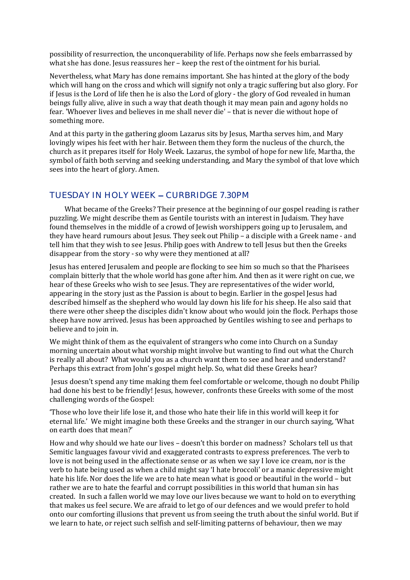possibility of resurrection, the unconquerability of life. Perhaps now she feels embarrassed by what she has done. Jesus reassures her – keep the rest of the ointment for his burial.

Nevertheless, what Mary has done remains important. She has hinted at the glory of the body which will hang on the cross and which will signify not only a tragic suffering but also glory. For if Jesus is the Lord of life then he is also the Lord of glory - the glory of God revealed in human beings fully alive, alive in such a way that death though it may mean pain and agony holds no fear. 'Whoever lives and believes in me shall never die' – that is never die without hope of something more.

And at this party in the gathering gloom Lazarus sits by Jesus, Martha serves him, and Mary lovingly wipes his feet with her hair. Between them they form the nucleus of the church, the church as it prepares itself for Holy Week. Lazarus, the symbol of hope for new life, Martha, the symbol of faith both serving and seeking understanding, and Mary the symbol of that love which sees into the heart of glory. Amen.

#### TUESDAY IN HOLY WEEK CURBRIDGE 7.30PM

 What became of the Greeks? Their presence at the beginning of our gospel reading is rather puzzling. We might describe them as Gentile tourists with an interest in Judaism. They have found themselves in the middle of a crowd of Jewish worshippers going up to Jerusalem, and they have heard rumours about Jesus. They seek out Philip – a disciple with a Greek name - and tell him that they wish to see Jesus. Philip goes with Andrew to tell Jesus but then the Greeks disappear from the story - so why were they mentioned at all?

Jesus has entered Jerusalem and people are flocking to see him so much so that the Pharisees complain bitterly that the whole world has gone after him. And then as it were right on cue, we hear of these Greeks who wish to see Jesus. They are representatives of the wider world, appearing in the story just as the Passion is about to begin. Earlier in the gospel Jesus had described himself as the shepherd who would lay down his life for his sheep. He also said that there were other sheep the disciples didn't know about who would join the flock. Perhaps those sheep have now arrived. Jesus has been approached by Gentiles wishing to see and perhaps to believe and to join in.

We might think of them as the equivalent of strangers who come into Church on a Sunday morning uncertain about what worship might involve but wanting to find out what the Church is really all about? What would you as a church want them to see and hear and understand? Perhaps this extract from John's gospel might help. So, what did these Greeks hear?

Jesus doesn't spend any time making them feel comfortable or welcome, though no doubt Philip had done his best to be friendly! Jesus, however, confronts these Greeks with some of the most challenging words of the Gospel:

'Those who love their life lose it, and those who hate their life in this world will keep it for eternal life.' We might imagine both these Greeks and the stranger in our church saying, 'What on earth does that mean?'

How and why should we hate our lives – doesn't this border on madness? Scholars tell us that Semitic languages favour vivid and exaggerated contrasts to express preferences. The verb to love is not being used in the affectionate sense or as when we say I love ice cream, nor is the verb to hate being used as when a child might say 'I hate broccoli' or a manic depressive might hate his life. Nor does the life we are to hate mean what is good or beautiful in the world – but rather we are to hate the fearful and corrupt possibilities in this world that human sin has created. In such a fallen world we may love our lives because we want to hold on to everything that makes us feel secure. We are afraid to let go of our defences and we would prefer to hold onto our comforting illusions that prevent us from seeing the truth about the sinful world. But if we learn to hate, or reject such selfish and self-limiting patterns of behaviour, then we may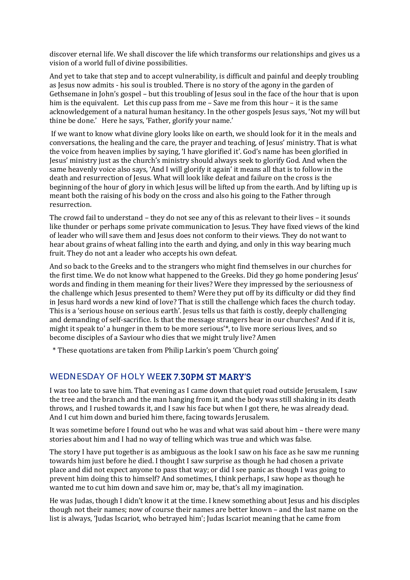discover eternal life. We shall discover the life which transforms our relationships and gives us a vision of a world full of divine possibilities.

And yet to take that step and to accept vulnerability, is difficult and painful and deeply troubling as Jesus now admits - his soul is troubled. There is no story of the agony in the garden of Gethsemane in John's gospel – but this troubling of Jesus soul in the face of the hour that is upon him is the equivalent. Let this cup pass from me – Save me from this hour – it is the same acknowledgement of a natural human hesitancy. In the other gospels Jesus says, 'Not my will but thine be done.' Here he says, 'Father, glorify your name.'

If we want to know what divine glory looks like on earth, we should look for it in the meals and conversations, the healing and the care, the prayer and teaching, of Jesus' ministry. That is what the voice from heaven implies by saying, 'I have glorified it'. God's name has been glorified in Jesus' ministry just as the church's ministry should always seek to glorify God. And when the same heavenly voice also says, 'And I will glorify it again' it means all that is to follow in the death and resurrection of Jesus. What will look like defeat and failure on the cross is the beginning of the hour of glory in which Jesus will be lifted up from the earth. And by lifting up is meant both the raising of his body on the cross and also his going to the Father through resurrection.

The crowd fail to understand – they do not see any of this as relevant to their lives – it sounds like thunder or perhaps some private communication to Jesus. They have fixed views of the kind of leader who will save them and Jesus does not conform to their views. They do not want to hear about grains of wheat falling into the earth and dying, and only in this way bearing much fruit. They do not ant a leader who accepts his own defeat.

And so back to the Greeks and to the strangers who might find themselves in our churches for the first time. We do not know what happened to the Greeks. Did they go home pondering Jesus' words and finding in them meaning for their lives? Were they impressed by the seriousness of the challenge which Jesus presented to them? Were they put off by its difficulty or did they find in Jesus hard words a new kind of love? That is still the challenge which faces the church today. This is a 'serious house on serious earth'. Jesus tells us that faith is costly, deeply challenging and demanding of self-sacrifice. Is that the message strangers hear in our churches? And if it is, might it speak to' a hunger in them to be more serious'\*, to live more serious lives, and so become disciples of a Saviour who dies that we might truly live? Amen

\* These quotations are taken from Philip Larkin's poem 'Church going'

#### WEDNESDAY OF HOLY WEEK 7.30PM ST MARY'S

I was too late to save him. That evening as I came down that quiet road outside Jerusalem, I saw the tree and the branch and the man hanging from it, and the body was still shaking in its death throws, and I rushed towards it, and I saw his face but when I got there, he was already dead. And I cut him down and buried him there, facing towards Jerusalem.

It was sometime before I found out who he was and what was said about him – there were many stories about him and I had no way of telling which was true and which was false.

The story I have put together is as ambiguous as the look I saw on his face as he saw me running towards him just before he died. I thought I saw surprise as though he had chosen a private place and did not expect anyone to pass that way; or did I see panic as though I was going to prevent him doing this to himself? And sometimes, I think perhaps, I saw hope as though he wanted me to cut him down and save him or, may be, that's all my imagination.

He was Judas, though I didn't know it at the time. I knew something about Jesus and his disciples though not their names; now of course their names are better known – and the last name on the list is always, 'Judas Iscariot, who betrayed him'; Judas Iscariot meaning that he came from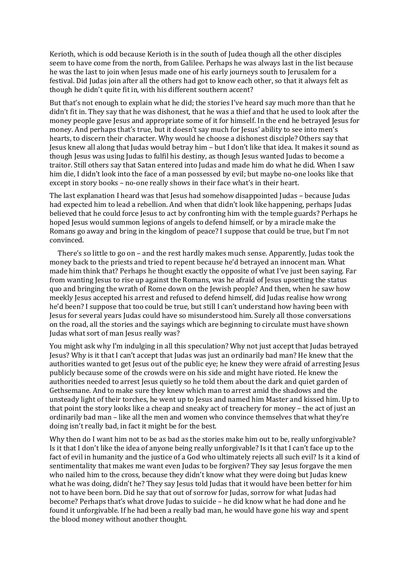Kerioth, which is odd because Kerioth is in the south of Judea though all the other disciples seem to have come from the north, from Galilee. Perhaps he was always last in the list because he was the last to join when Jesus made one of his early journeys south to Jerusalem for a festival. Did Judas join after all the others had got to know each other, so that it always felt as though he didn't quite fit in, with his different southern accent?

But that's not enough to explain what he did; the stories I've heard say much more than that he didn't fit in. They say that he was dishonest, that he was a thief and that he used to look after the money people gave Jesus and appropriate some of it for himself. In the end he betrayed Jesus for money. And perhaps that's true, but it doesn't say much for Jesus' ability to see into men's hearts, to discern their character. Why would he choose a dishonest disciple? Others say that Jesus knew all along that Judas would betray him – but I don't like that idea. It makes it sound as though Jesus was using Judas to fulfil his destiny, as though Jesus wanted Judas to become a traitor. Still others say that Satan entered into Judas and made him do what he did. When I saw him die, I didn't look into the face of a man possessed by evil; but maybe no-one looks like that except in story books – no-one really shows in their face what's in their heart.

The last explanation I heard was that Jesus had somehow disappointed Judas – because Judas had expected him to lead a rebellion. And when that didn't look like happening, perhaps Judas believed that he could force Jesus to act by confronting him with the temple guards? Perhaps he hoped Jesus would summon legions of angels to defend himself, or by a miracle make the Romans go away and bring in the kingdom of peace? I suppose that could be true, but I'm not convinced.

 There's so little to go on – and the rest hardly makes much sense. Apparently, Judas took the money back to the priests and tried to repent because he'd betrayed an innocent man. What made him think that? Perhaps he thought exactly the opposite of what I've just been saying. Far from wanting Jesus to rise up against the Romans, was he afraid of Jesus upsetting the status quo and bringing the wrath of Rome down on the Jewish people? And then, when he saw how meekly Jesus accepted his arrest and refused to defend himself, did Judas realise how wrong he'd been? I suppose that too could be true, but still I can't understand how having been with Jesus for several years Judas could have so misunderstood him. Surely all those conversations on the road, all the stories and the sayings which are beginning to circulate must have shown Judas what sort of man Jesus really was?

You might ask why I'm indulging in all this speculation? Why not just accept that Judas betrayed Jesus? Why is it that I can't accept that Judas was just an ordinarily bad man? He knew that the authorities wanted to get Jesus out of the public eye; he knew they were afraid of arresting Jesus publicly because some of the crowds were on his side and might have rioted. He knew the authorities needed to arrest Jesus quietly so he told them about the dark and quiet garden of Gethsemane. And to make sure they knew which man to arrest amid the shadows and the unsteady light of their torches, he went up to Jesus and named him Master and kissed him. Up to that point the story looks like a cheap and sneaky act of treachery for money – the act of just an ordinarily bad man – like all the men and women who convince themselves that what they're doing isn't really bad, in fact it might be for the best.

Why then do I want him not to be as bad as the stories make him out to be, really unforgivable? Is it that I don't like the idea of anyone being really unforgivable? Is it that I can't face up to the fact of evil in humanity and the justice of a God who ultimately rejects all such evil? Is it a kind of sentimentality that makes me want even Judas to be forgiven? They say Jesus forgave the men who nailed him to the cross, because they didn't know what they were doing but Judas knew what he was doing, didn't he? They say Jesus told Judas that it would have been better for him not to have been born. Did he say that out of sorrow for Judas, sorrow for what Judas had become? Perhaps that's what drove Judas to suicide – he did know what he had done and he found it unforgivable. If he had been a really bad man, he would have gone his way and spent the blood money without another thought.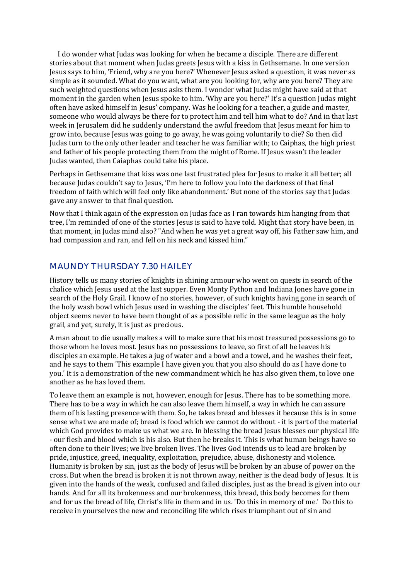I do wonder what Judas was looking for when he became a disciple. There are different stories about that moment when Judas greets Jesus with a kiss in Gethsemane. In one version Jesus says to him, 'Friend, why are you here?' Whenever Jesus asked a question, it was never as simple as it sounded. What do you want, what are you looking for, why are you here? They are such weighted questions when Jesus asks them. I wonder what Judas might have said at that moment in the garden when Jesus spoke to him. 'Why are you here?' It's a question Judas might often have asked himself in Jesus' company. Was he looking for a teacher, a guide and master, someone who would always be there for to protect him and tell him what to do? And in that last week in Jerusalem did he suddenly understand the awful freedom that Jesus meant for him to grow into, because Jesus was going to go away, he was going voluntarily to die? So then did Judas turn to the only other leader and teacher he was familiar with; to Caiphas, the high priest and father of his people protecting them from the might of Rome. If Jesus wasn't the leader Judas wanted, then Caiaphas could take his place.

Perhaps in Gethsemane that kiss was one last frustrated plea for Jesus to make it all better; all because Judas couldn't say to Jesus, 'I'm here to follow you into the darkness of that final freedom of faith which will feel only like abandonment.' But none of the stories say that Judas gave any answer to that final question.

Now that I think again of the expression on Judas face as I ran towards him hanging from that tree, I'm reminded of one of the stories Jesus is said to have told. Might that story have been, in that moment, in Judas mind also? "And when he was yet a great way off, his Father saw him, and had compassion and ran, and fell on his neck and kissed him."

## MAUNDY THURSDAY 7.30 HAILEY

History tells us many stories of knights in shining armour who went on quests in search of the chalice which Jesus used at the last supper. Even Monty Python and Indiana Jones have gone in search of the Holy Grail. I know of no stories, however, of such knights having gone in search of the holy wash bowl which Jesus used in washing the disciples' feet. This humble household object seems never to have been thought of as a possible relic in the same league as the holy grail, and yet, surely, it is just as precious.

A man about to die usually makes a will to make sure that his most treasured possessions go to those whom he loves most. Jesus has no possessions to leave, so first of all he leaves his disciples an example. He takes a jug of water and a bowl and a towel, and he washes their feet, and he says to them 'This example I have given you that you also should do as I have done to you.' It is a demonstration of the new commandment which he has also given them, to love one another as he has loved them.

To leave them an example is not, however, enough for Jesus. There has to be something more. There has to be a way in which he can also leave them himself, a way in which he can assure them of his lasting presence with them. So, he takes bread and blesses it because this is in some sense what we are made of; bread is food which we cannot do without - it is part of the material which God provides to make us what we are. In blessing the bread Jesus blesses our physical life - our flesh and blood which is his also. But then he breaks it. This is what human beings have so often done to their lives; we live broken lives. The lives God intends us to lead are broken by pride, injustice, greed, inequality, exploitation, prejudice, abuse, dishonesty and violence. Humanity is broken by sin, just as the body of Jesus will be broken by an abuse of power on the cross. But when the bread is broken it is not thrown away, neither is the dead body of Jesus. It is given into the hands of the weak, confused and failed disciples, just as the bread is given into our hands. And for all its brokenness and our brokenness, this bread, this body becomes for them and for us the bread of life, Christ's life in them and in us. 'Do this in memory of me.' Do this to receive in yourselves the new and reconciling life which rises triumphant out of sin and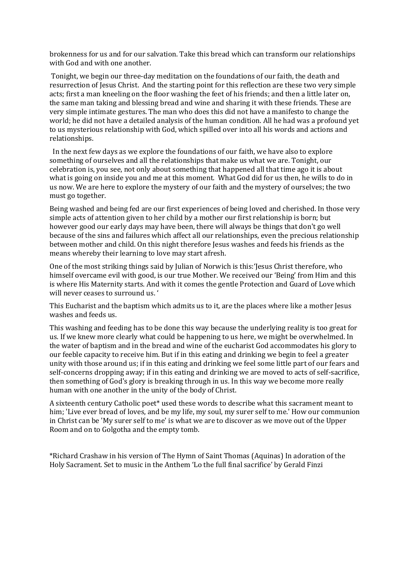brokenness for us and for our salvation. Take this bread which can transform our relationships with God and with one another.

Tonight, we begin our three-day meditation on the foundations of our faith, the death and resurrection of Jesus Christ. And the starting point for this reflection are these two very simple acts; first a man kneeling on the floor washing the feet of his friends; and then a little later on, the same man taking and blessing bread and wine and sharing it with these friends. These are very simple intimate gestures. The man who does this did not have a manifesto to change the world; he did not have a detailed analysis of the human condition. All he had was a profound yet to us mysterious relationship with God, which spilled over into all his words and actions and relationships.

 In the next few days as we explore the foundations of our faith, we have also to explore something of ourselves and all the relationships that make us what we are. Tonight, our celebration is, you see, not only about something that happened all that time ago it is about what is going on inside you and me at this moment. What God did for us then, he wills to do in us now. We are here to explore the mystery of our faith and the mystery of ourselves; the two must go together.

Being washed and being fed are our first experiences of being loved and cherished. In those very simple acts of attention given to her child by a mother our first relationship is born; but however good our early days may have been, there will always be things that don't go well because of the sins and failures which affect all our relationships, even the precious relationship between mother and child. On this night therefore Jesus washes and feeds his friends as the means whereby their learning to love may start afresh.

One of the most striking things said by Julian of Norwich is this:'Jesus Christ therefore, who himself overcame evil with good, is our true Mother. We received our 'Being' from Him and this is where His Maternity starts. And with it comes the gentle Protection and Guard of Love which will never ceases to surround us. '

This Eucharist and the baptism which admits us to it, are the places where like a mother Jesus washes and feeds us.

This washing and feeding has to be done this way because the underlying reality is too great for us. If we knew more clearly what could be happening to us here, we might be overwhelmed. In the water of baptism and in the bread and wine of the eucharist God accommodates his glory to our feeble capacity to receive him. But if in this eating and drinking we begin to feel a greater unity with those around us; if in this eating and drinking we feel some little part of our fears and self-concerns dropping away; if in this eating and drinking we are moved to acts of self-sacrifice, then something of God's glory is breaking through in us. In this way we become more really human with one another in the unity of the body of Christ.

A sixteenth century Catholic poet\* used these words to describe what this sacrament meant to him; 'Live ever bread of loves, and be my life, my soul, my surer self to me.' How our communion in Christ can be 'My surer self to me' is what we are to discover as we move out of the Upper Room and on to Golgotha and the empty tomb.

\*Richard Crashaw in his version of The Hymn of Saint Thomas (Aquinas) In adoration of the Holy Sacrament. Set to music in the Anthem 'Lo the full final sacrifice' by Gerald Finzi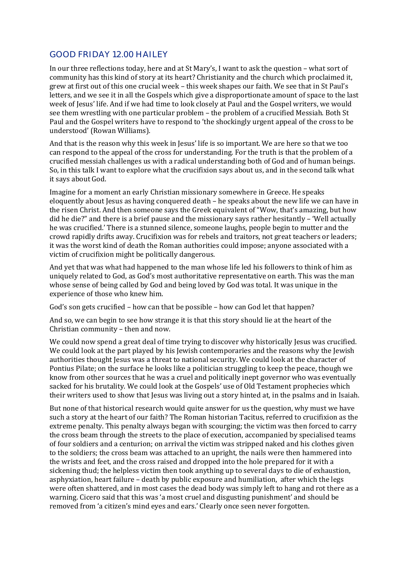## GOOD FRIDAY 12.00 HAILEY

In our three reflections today, here and at St Mary's, I want to ask the question – what sort of community has this kind of story at its heart? Christianity and the church which proclaimed it, grew at first out of this one crucial week – this week shapes our faith. We see that in St Paul's letters, and we see it in all the Gospels which give a disproportionate amount of space to the last week of Jesus' life. And if we had time to look closely at Paul and the Gospel writers, we would see them wrestling with one particular problem – the problem of a crucified Messiah. Both St Paul and the Gospel writers have to respond to 'the shockingly urgent appeal of the cross to be understood' (Rowan Williams).

And that is the reason why this week in Jesus' life is so important. We are here so that we too can respond to the appeal of the cross for understanding. For the truth is that the problem of a crucified messiah challenges us with a radical understanding both of God and of human beings. So, in this talk I want to explore what the crucifixion says about us, and in the second talk what it says about God.

Imagine for a moment an early Christian missionary somewhere in Greece. He speaks eloquently about Jesus as having conquered death – he speaks about the new life we can have in the risen Christ. And then someone says the Greek equivalent of "Wow, that's amazing, but how did he die?" and there is a brief pause and the missionary says rather hesitantly – 'Well actually he was crucified.' There is a stunned silence, someone laughs, people begin to mutter and the crowd rapidly drifts away. Crucifixion was for rebels and traitors, not great teachers or leaders; it was the worst kind of death the Roman authorities could impose; anyone associated with a victim of crucifixion might be politically dangerous.

And yet that was what had happened to the man whose life led his followers to think of him as uniquely related to God, as God's most authoritative representative on earth. This was the man whose sense of being called by God and being loved by God was total. It was unique in the experience of those who knew him.

God's son gets crucified – how can that be possible – how can God let that happen?

And so, we can begin to see how strange it is that this story should lie at the heart of the Christian community – then and now.

We could now spend a great deal of time trying to discover why historically Jesus was crucified. We could look at the part played by his Jewish contemporaries and the reasons why the Jewish authorities thought Jesus was a threat to national security. We could look at the character of Pontius Pilate; on the surface he looks like a politician struggling to keep the peace, though we know from other sources that he was a cruel and politically inept governor who was eventually sacked for his brutality. We could look at the Gospels' use of Old Testament prophecies which their writers used to show that Jesus was living out a story hinted at, in the psalms and in Isaiah.

But none of that historical research would quite answer for us the question, why must we have such a story at the heart of our faith? The Roman historian Tacitus, referred to crucifixion as the extreme penalty. This penalty always began with scourging; the victim was then forced to carry the cross beam through the streets to the place of execution, accompanied by specialised teams of four soldiers and a centurion; on arrival the victim was stripped naked and his clothes given to the soldiers; the cross beam was attached to an upright, the nails were then hammered into the wrists and feet, and the cross raised and dropped into the hole prepared for it with a sickening thud; the helpless victim then took anything up to several days to die of exhaustion, asphyxiation, heart failure – death by public exposure and humiliation, after which the legs were often shattered, and in most cases the dead body was simply left to hang and rot there as a warning. Cicero said that this was 'a most cruel and disgusting punishment' and should be removed from 'a citizen's mind eyes and ears.' Clearly once seen never forgotten.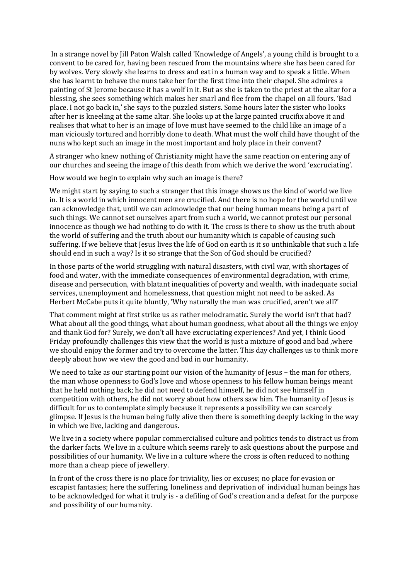In a strange novel by Jill Paton Walsh called 'Knowledge of Angels', a young child is brought to a convent to be cared for, having been rescued from the mountains where she has been cared for by wolves. Very slowly she learns to dress and eat in a human way and to speak a little. When she has learnt to behave the nuns take her for the first time into their chapel. She admires a painting of St Jerome because it has a wolf in it. But as she is taken to the priest at the altar for a blessing, she sees something which makes her snarl and flee from the chapel on all fours. 'Bad place. I not go back in,' she says to the puzzled sisters. Some hours later the sister who looks after her is kneeling at the same altar. She looks up at the large painted crucifix above it and realises that what to her is an image of love must have seemed to the child like an image of a man viciously tortured and horribly done to death. What must the wolf child have thought of the nuns who kept such an image in the most important and holy place in their convent?

A stranger who knew nothing of Christianity might have the same reaction on entering any of our churches and seeing the image of this death from which we derive the word 'excruciating'.

How would we begin to explain why such an image is there?

We might start by saying to such a stranger that this image shows us the kind of world we live in. It is a world in which innocent men are crucified. And there is no hope for the world until we can acknowledge that, until we can acknowledge that our being human means being a part of such things. We cannot set ourselves apart from such a world, we cannot protest our personal innocence as though we had nothing to do with it. The cross is there to show us the truth about the world of suffering and the truth about our humanity which is capable of causing such suffering. If we believe that Jesus lives the life of God on earth is it so unthinkable that such a life should end in such a way? Is it so strange that the Son of God should be crucified?

In those parts of the world struggling with natural disasters, with civil war, with shortages of food and water, with the immediate consequences of environmental degradation, with crime, disease and persecution, with blatant inequalities of poverty and wealth, with inadequate social services, unemployment and homelessness, that question might not need to be asked. As Herbert McCabe puts it quite bluntly, 'Why naturally the man was crucified, aren't we all?'

That comment might at first strike us as rather melodramatic. Surely the world isn't that bad? What about all the good things, what about human goodness, what about all the things we enjoy and thank God for? Surely, we don't all have excruciating experiences? And yet, I think Good Friday profoundly challenges this view that the world is just a mixture of good and bad ,where we should enjoy the former and try to overcome the latter. This day challenges us to think more deeply about how we view the good and bad in our humanity.

We need to take as our starting point our vision of the humanity of Jesus - the man for others, the man whose openness to God's love and whose openness to his fellow human beings meant that he held nothing back; he did not need to defend himself, he did not see himself in competition with others, he did not worry about how others saw him. The humanity of Jesus is difficult for us to contemplate simply because it represents a possibility we can scarcely glimpse. If Jesus is the human being fully alive then there is something deeply lacking in the way in which we live, lacking and dangerous.

We live in a society where popular commercialised culture and politics tends to distract us from the darker facts. We live in a culture which seems rarely to ask questions about the purpose and possibilities of our humanity. We live in a culture where the cross is often reduced to nothing more than a cheap piece of jewellery.

In front of the cross there is no place for triviality, lies or excuses; no place for evasion or escapist fantasies; here the suffering, loneliness and deprivation of individual human beings has to be acknowledged for what it truly is - a defiling of God's creation and a defeat for the purpose and possibility of our humanity.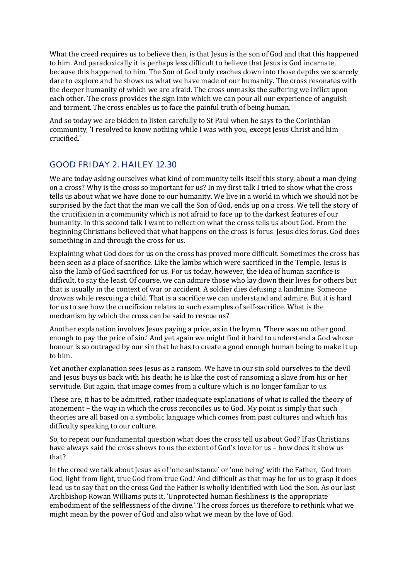What the creed requires us to believe then, is that Jesus is the son of God and that this happened to him. And paradoxically it is perhaps less difficult to believe that Jesus is God incarnate, because this happened to him. The Son of God truly reaches down into those depths we scarcely dare to explore and he shows us what we have made of our humanity. The cross resonates with the deeper humanity of which we are afraid. The cross unmasks the suffering we inflict upon each other. The cross provides the sign into which we can pour all our experience of anguish and torment. The cross enables us to face the painful truth of being human.

And so today we are bidden to listen carefully to St Paul when he says to the Corinthian community, 'I resolved to know nothing while I was with you, except Jesus Christ and him crucified.'

# GOOD FRIDAY 2. HAILEY 12.30

We are today asking ourselves what kind of community tells itself this story, about a man dying on a cross? Why is the cross so important for us? In my first talk I tried to show what the cross tells us about what we have done to our humanity. We live in a world in which we should not be surprised by the fact that the man we call the Son of God, ends up on a cross. We tell the story of the crucifixion in a community which is not afraid to face up to the darkest features of our humanity. In this second talk I want to reflect on what the cross tells us about God. From the beginning Christians believed that what happens on the cross is forus. Jesus dies forus. God does something in and through the cross for us.

Explaining what God does for us on the cross has proved more difficult. Sometimes the cross has been seen as a place of sacrifice. Like the lambs which were sacrificed in the Temple, Jesus is also the lamb of God sacrificed for us. For us today, however, the idea of human sacrifice is difficult, to say the least. Of course, we can admire those who lay down their lives for others but that is usually in the context of war or accident. A soldier dies defusing a landmine. Someone drowns while rescuing a child. That is a sacrifice we can understand and admire. But it is hard for us to see how the crucifixion relates to such examples of self-sacrifice. What is the mechanism by which the cross can be said to rescue us?

Another explanation involves Jesus paying a price, as in the hymn, 'There was no other good enough to pay the price of sin.' And yet again we might find it hard to understand a God whose honour is so outraged by our sin that he has to create a good enough human being to make it up to him.

Yet another explanation sees Jesus as a ransom. We have in our sin sold ourselves to the devil and Jesus buys us back with his death; he is like the cost of ransoming a slave from his or her servitude. But again, that image comes from a culture which is no longer familiar to us.

These are, it has to be admitted, rather inadequate explanations of what is called the theory of atonement – the way in which the cross reconciles us to God. My point is simply that such theories are all based on a symbolic language which comes from past cultures and which has difficulty speaking to our culture.

So, to repeat our fundamental question what does the cross tell us about God? If as Christians have always said the cross shows to us the extent of God's love for us - how does it show us that?

In the creed we talk about Jesus as of 'one substance' or 'one being' with the Father, 'God from God, light from light, true God from true God.' And difficult as that may be for us to grasp it does lead us to say that on the cross God the Father is wholly identified with God the Son. As our last Archbishop Rowan Williams puts it, 'Unprotected human fleshliness is the appropriate embodiment of the selflessness of the divine.' The cross forces us therefore to rethink what we might mean by the power of God and also what we mean by the love of God.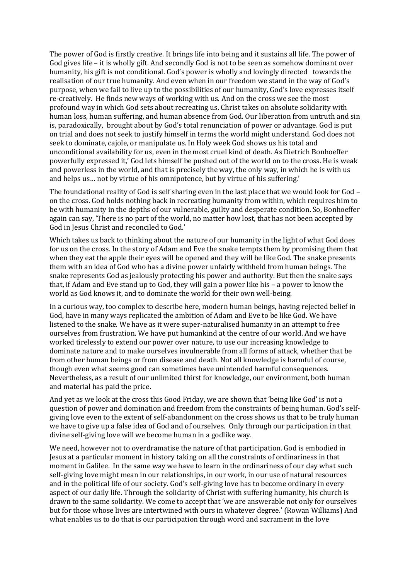The power of God is firstly creative. It brings life into being and it sustains all life. The power of God gives life – it is wholly gift. And secondly God is not to be seen as somehow dominant over humanity, his gift is not conditional. God's power is wholly and lovingly directed towards the realisation of our true humanity. And even when in our freedom we stand in the way of God's purpose, when we fail to live up to the possibilities of our humanity, God's love expresses itself re-creatively. He finds new ways of working with us. And on the cross we see the most profound way in which God sets about recreating us. Christ takes on absolute solidarity with human loss, human suffering, and human absence from God. Our liberation from untruth and sin is, paradoxically, brought about by God's total renunciation of power or advantage. God is put on trial and does not seek to justify himself in terms the world might understand. God does not seek to dominate, cajole, or manipulate us. In Holy week God shows us his total and unconditional availability for us, even in the most cruel kind of death. As Dietrich Bonhoeffer powerfully expressed it,' God lets himself be pushed out of the world on to the cross. He is weak and powerless in the world, and that is precisely the way, the only way, in which he is with us and helps us… not by virtue of his omnipotence, but by virtue of his suffering.'

The foundational reality of God is self sharing even in the last place that we would look for God – on the cross. God holds nothing back in recreating humanity from within, which requires him to be with humanity in the depths of our vulnerable, guilty and desperate condition. So, Bonhoeffer again can say, 'There is no part of the world, no matter how lost, that has not been accepted by God in Jesus Christ and reconciled to God.'

Which takes us back to thinking about the nature of our humanity in the light of what God does for us on the cross. In the story of Adam and Eve the snake tempts them by promising them that when they eat the apple their eyes will be opened and they will be like God. The snake presents them with an idea of God who has a divine power unfairly withheld from human beings. The snake represents God as jealously protecting his power and authority. But then the snake says that, if Adam and Eve stand up to God, they will gain a power like his – a power to know the world as God knows it, and to dominate the world for their own well-being.

In a curious way, too complex to describe here, modern human beings, having rejected belief in God, have in many ways replicated the ambition of Adam and Eve to be like God. We have listened to the snake. We have as it were super-naturalised humanity in an attempt to free ourselves from frustration. We have put humankind at the centre of our world. And we have worked tirelessly to extend our power over nature, to use our increasing knowledge to dominate nature and to make ourselves invulnerable from all forms of attack, whether that be from other human beings or from disease and death. Not all knowledge is harmful of course, though even what seems good can sometimes have unintended harmful consequences. Nevertheless, as a result of our unlimited thirst for knowledge, our environment, both human and material has paid the price.

And yet as we look at the cross this Good Friday, we are shown that 'being like God' is not a question of power and domination and freedom from the constraints of being human. God's selfgiving love even to the extent of self-abandonment on the cross shows us that to be truly human we have to give up a false idea of God and of ourselves. Only through our participation in that divine self-giving love will we become human in a godlike way.

We need, however not to overdramatise the nature of that participation. God is embodied in Jesus at a particular moment in history taking on all the constraints of ordinariness in that moment in Galilee. In the same way we have to learn in the ordinariness of our day what such self-giving love might mean in our relationships, in our work, in our use of natural resources and in the political life of our society. God's self-giving love has to become ordinary in every aspect of our daily life. Through the solidarity of Christ with suffering humanity, his church is drawn to the same solidarity. We come to accept that 'we are answerable not only for ourselves but for those whose lives are intertwined with ours in whatever degree.' (Rowan Williams) And what enables us to do that is our participation through word and sacrament in the love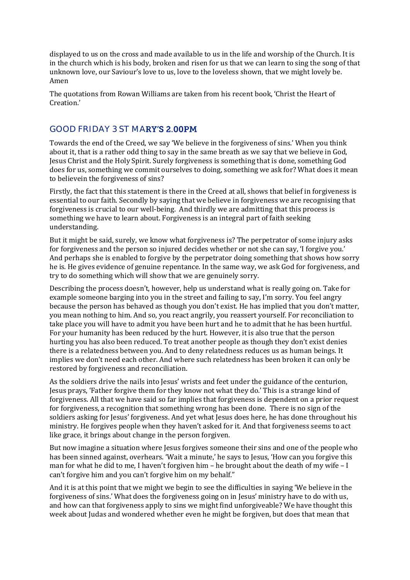displayed to us on the cross and made available to us in the life and worship of the Church. It is in the church which is his body, broken and risen for us that we can learn to sing the song of that unknown love, our Saviour's love to us, love to the loveless shown, that we might lovely be. Amen

The quotations from Rowan Williams are taken from his recent book, 'Christ the Heart of Creation.'

## GOOD FRIDAY 3 ST MARY'S 2.00PM

Towards the end of the Creed, we say 'We believe in the forgiveness of sins.' When you think about it, that is a rather odd thing to say in the same breath as we say that we believe in God, Jesus Christ and the Holy Spirit. Surely forgiveness is something that is done, something God does for us, something we commit ourselves to doing, something we ask for? What does it mean to believein the forgiveness of sins?

Firstly, the fact that this statement is there in the Creed at all, shows that belief in forgiveness is essential to our faith. Secondly by saying that we believe in forgiveness we are recognising that forgiveness is crucial to our well-being. And thirdly we are admitting that this process is something we have to learn about. Forgiveness is an integral part of faith seeking understanding.

But it might be said, surely, we know what forgiveness is? The perpetrator of some injury asks for forgiveness and the person so injured decides whether or not she can say, 'I forgive you.' And perhaps she is enabled to forgive by the perpetrator doing something that shows how sorry he is. He gives evidence of genuine repentance. In the same way, we ask God for forgiveness, and try to do something which will show that we are genuinely sorry.

Describing the process doesn't, however, help us understand what is really going on. Take for example someone barging into you in the street and failing to say, I'm sorry. You feel angry because the person has behaved as though you don't exist. He has implied that you don't matter, you mean nothing to him. And so, you react angrily, you reassert yourself. For reconciliation to take place you will have to admit you have been hurt and he to admit that he has been hurtful. For your humanity has been reduced by the hurt. However, it is also true that the person hurting you has also been reduced. To treat another people as though they don't exist denies there is a relatedness between you. And to deny relatedness reduces us as human beings. It implies we don't need each other. And where such relatedness has been broken it can only be restored by forgiveness and reconciliation.

As the soldiers drive the nails into Jesus' wrists and feet under the guidance of the centurion, Jesus prays, 'Father forgive them for they know not what they do.' This is a strange kind of forgiveness. All that we have said so far implies that forgiveness is dependent on a prior request for forgiveness, a recognition that something wrong has been done. There is no sign of the soldiers asking for Jesus' forgiveness. And yet what Jesus does here, he has done throughout his ministry. He forgives people when they haven't asked for it. And that forgiveness seems to act like grace, it brings about change in the person forgiven.

But now imagine a situation where Jesus forgives someone their sins and one of the people who has been sinned against, overhears. 'Wait a minute,' he says to Jesus, 'How can you forgive this man for what he did to me, I haven't forgiven him – he brought about the death of my wife – I can't forgive him and you can't forgive him on my behalf."

And it is at this point that we might we begin to see the difficulties in saying 'We believe in the forgiveness of sins.' What does the forgiveness going on in Jesus' ministry have to do with us, and how can that forgiveness apply to sins we might find unforgiveable? We have thought this week about Judas and wondered whether even he might be forgiven, but does that mean that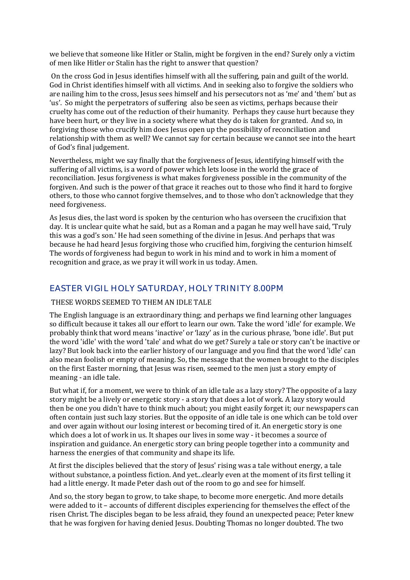we believe that someone like Hitler or Stalin, might be forgiven in the end? Surely only a victim of men like Hitler or Stalin has the right to answer that question?

On the cross God in Jesus identifies himself with all the suffering, pain and guilt of the world. God in Christ identifies himself with all victims. And in seeking also to forgive the soldiers who are nailing him to the cross, Jesus sees himself and his persecutors not as 'me' and 'them' but as 'us'. So might the perpetrators of suffering also be seen as victims, perhaps because their cruelty has come out of the reduction of their humanity. Perhaps they cause hurt because they have been hurt, or they live in a society where what they do is taken for granted. And so, in forgiving those who crucify him does Jesus open up the possibility of reconciliation and relationship with them as well? We cannot say for certain because we cannot see into the heart of God's final judgement.

Nevertheless, might we say finally that the forgiveness of Jesus, identifying himself with the suffering of all victims, is a word of power which lets loose in the world the grace of reconciliation. Jesus forgiveness is what makes forgiveness possible in the community of the forgiven. And such is the power of that grace it reaches out to those who find it hard to forgive others, to those who cannot forgive themselves, and to those who don't acknowledge that they need forgiveness.

As Jesus dies, the last word is spoken by the centurion who has overseen the crucifixion that day. It is unclear quite what he said, but as a Roman and a pagan he may well have said, 'Truly this was a god's son.' He had seen something of the divine in Jesus. And perhaps that was because he had heard Jesus forgiving those who crucified him, forgiving the centurion himself. The words of forgiveness had begun to work in his mind and to work in him a moment of recognition and grace, as we pray it will work in us today. Amen.

## EASTER VIGIL HOLY SATURDAY, HOLY TRINITY 8.00PM

#### THESE WORDS SEEMED TO THEM AN IDLE TALE

The English language is an extraordinary thing; and perhaps we find learning other languages so difficult because it takes all our effort to learn our own. Take the word 'idle' for example. We probably think that word means 'inactive' or 'lazy' as in the curious phrase, 'bone idle'. But put the word 'idle' with the word 'tale' and what do we get? Surely a tale or story can't be inactive or lazy? But look back into the earlier history of our language and you find that the word 'idle' can also mean foolish or empty of meaning. So, the message that the women brought to the disciples on the first Easter morning, that Jesus was risen, seemed to the men just a story empty of meaning - an idle tale.

But what if, for a moment, we were to think of an idle tale as a lazy story? The opposite of a lazy story might be a lively or energetic story - a story that does a lot of work. A lazy story would then be one you didn't have to think much about; you might easily forget it; our newspapers can often contain just such lazy stories. But the opposite of an idle tale is one which can be told over and over again without our losing interest or becoming tired of it. An energetic story is one which does a lot of work in us. It shapes our lives in some way - it becomes a source of inspiration and guidance. An energetic story can bring people together into a community and harness the energies of that community and shape its life.

At first the disciples believed that the story of Jesus' rising was a tale without energy, a tale without substance, a pointless fiction. And yet...clearly even at the moment of its first telling it had a little energy. It made Peter dash out of the room to go and see for himself.

And so, the story began to grow, to take shape, to become more energetic. And more details were added to it – accounts of different disciples experiencing for themselves the effect of the risen Christ. The disciples began to be less afraid, they found an unexpected peace; Peter knew that he was forgiven for having denied Jesus. Doubting Thomas no longer doubted. The two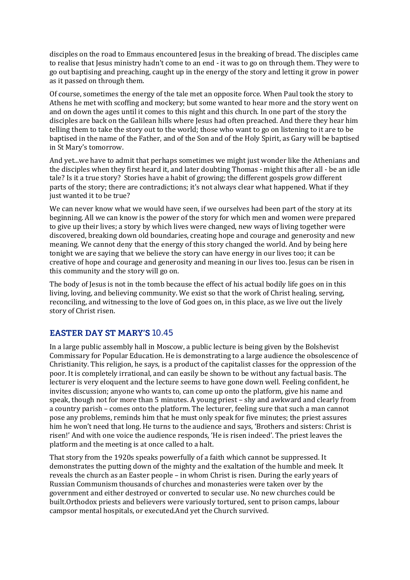disciples on the road to Emmaus encountered Jesus in the breaking of bread. The disciples came to realise that Jesus ministry hadn't come to an end - it was to go on through them. They were to go out baptising and preaching, caught up in the energy of the story and letting it grow in power as it passed on through them.

Of course, sometimes the energy of the tale met an opposite force. When Paul took the story to Athens he met with scoffing and mockery; but some wanted to hear more and the story went on and on down the ages until it comes to this night and this church. In one part of the story the disciples are back on the Galilean hills where Jesus had often preached. And there they hear him telling them to take the story out to the world; those who want to go on listening to it are to be baptised in the name of the Father, and of the Son and of the Holy Spirit, as Gary will be baptised in St Mary's tomorrow.

And yet...we have to admit that perhaps sometimes we might just wonder like the Athenians and the disciples when they first heard it, and later doubting Thomas - might this after all - be an idle tale? Is it a true story? Stories have a habit of growing; the different gospels grow different parts of the story; there are contradictions; it's not always clear what happened. What if they just wanted it to be true?

We can never know what we would have seen, if we ourselves had been part of the story at its beginning. All we can know is the power of the story for which men and women were prepared to give up their lives; a story by which lives were changed, new ways of living together were discovered, breaking down old boundaries, creating hope and courage and generosity and new meaning. We cannot deny that the energy of this story changed the world. And by being here tonight we are saying that we believe the story can have energy in our lives too; it can be creative of hope and courage and generosity and meaning in our lives too. Jesus can be risen in this community and the story will go on.

The body of Jesus is not in the tomb because the effect of his actual bodily life goes on in this living, loving, and believing community. We exist so that the work of Christ healing, serving, reconciling, and witnessing to the love of God goes on, in this place, as we live out the lively story of Christ risen.

## **EASTER DAY ST MARY'S 10.45**

In a large public assembly hall in Moscow, a public lecture is being given by the Bolshevist Commissary for Popular Education. He is demonstrating to a large audience the obsolescence of Christianity. This religion, he says, is a product of the capitalist classes for the oppression of the poor. It is completely irrational, and can easily be shown to be without any factual basis. The lecturer is very eloquent and the lecture seems to have gone down well. Feeling confident, he invites discussion; anyone who wants to, can come up onto the platform, give his name and speak, though not for more than 5 minutes. A young priest – shy and awkward and clearly from a country parish – comes onto the platform. The lecturer, feeling sure that such a man cannot pose any problems, reminds him that he must only speak for five minutes; the priest assures him he won't need that long. He turns to the audience and says, 'Brothers and sisters: Christ is risen!' And with one voice the audience responds, 'He is risen indeed'. The priest leaves the platform and the meeting is at once called to a halt.

That story from the 1920s speaks powerfully of a faith which cannot be suppressed. It demonstrates the putting down of the mighty and the exaltation of the humble and meek. It reveals the church as an Easter people – in whom Christ is risen. During the early years of Russian Communism thousands of churches and monasteries were taken over by the government and either destroyed or converted to secular use. No new churches could be built.Orthodox priests and believers were variously tortured, sent to prison camps, labour campsor mental hospitals, or executed.And yet the Church survived.